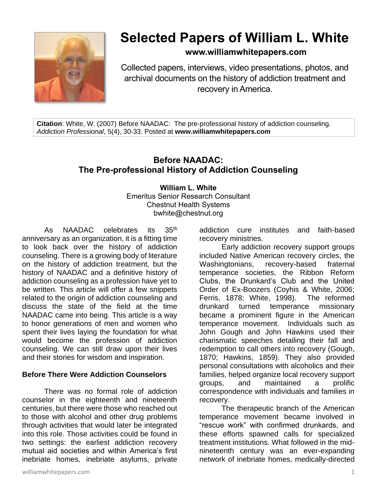

# **Selected Papers of William L. White**

# **www.williamwhitepapers.com**

Collected papers, interviews, video presentations, photos, and archival documents on the history of addiction treatment and recovery in America.

**Citation**: White, W. (2007) Before NAADAC: The pre-professional history of addiction counseling. *Addiction Professional*, 5(4), 30-33. Posted at **www.williamwhitepapers.com**

# **Before NAADAC: The Pre-professional History of Addiction Counseling**

**William L. White** Emeritus Senior Research Consultant Chestnut Health Systems bwhite@chestnut.org

As NAADAC celebrates its 35<sup>th</sup> anniversary as an organization, it is a fitting time to look back over the history of addiction counseling. There is a growing body of literature on the history of addiction treatment, but the history of NAADAC and a definitive history of addiction counseling as a profession have yet to be written. This article will offer a few snippets related to the origin of addiction counseling and discuss the state of the field at the time NAADAC came into being. This article is a way to honor generations of men and women who spent their lives laying the foundation for what would become the profession of addiction counseling. We can still draw upon their lives and their stories for wisdom and inspiration.

#### **Before There Were Addiction Counselors**

There was no formal role of addiction counselor in the eighteenth and nineteenth centuries, but there were those who reached out to those with alcohol and other drug problems through activities that would later be integrated into this role. Those activities could be found in two settings: the earliest addiction recovery mutual aid societies and within America's first inebriate homes, inebriate asylums, private

addiction cure institutes and faith-based recovery ministries.

Early addiction recovery support groups included Native American recovery circles, the Washingtonians, recovery-based fraternal temperance societies, the Ribbon Reform Clubs, the Drunkard's Club and the United Order of Ex-Boozers (Coyhis & White, 2006; Ferris, 1878; White, 1998). The reformed drunkard turned temperance missionary became a prominent figure in the American temperance movement. Individuals such as John Gough and John Hawkins used their charismatic speeches detailing their fall and redemption to call others into recovery (Gough, 1870; Hawkins, 1859). They also provided personal consultations with alcoholics and their families, helped organize local recovery support groups, and maintained a prolific correspondence with individuals and families in recovery.

The therapeutic branch of the American temperance movement became involved in "rescue work" with confirmed drunkards, and these efforts spawned calls for specialized treatment institutions. What followed in the midnineteenth century was an ever-expanding network of inebriate homes, medically-directed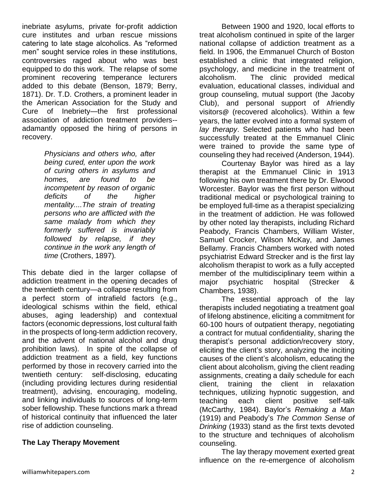inebriate asylums, private for-profit addiction cure institutes and urban rescue missions catering to late stage alcoholics. As "reformed men" sought service roles in these institutions, controversies raged about who was best equipped to do this work. The relapse of some prominent recovering temperance lecturers added to this debate (Benson, 1879; Berry, 1871). Dr. T.D. Crothers, a prominent leader in the American Association for the Study and Cure of Inebriety—the first professional association of addiction treatment providers- adamantly opposed the hiring of persons in recovery.

> *Physicians and others who, after being cured, enter upon the work of curing others in asylums and homes, are found to be incompetent by reason of organic deficits of the higher mentality....The strain of treating persons who are afflicted with the same malady from which they formerly suffered is invariably followed by relapse, if they continue in the work any length of time* (Crothers, 1897)*.*

This debate died in the larger collapse of addiction treatment in the opening decades of the twentieth century—a collapse resulting from a perfect storm of intrafield factors (e.g., ideological schisms within the field, ethical abuses, aging leadership) and contextual factors (economic depressions, lost cultural faith in the prospects of long-term addiction recovery, and the advent of national alcohol and drug prohibition laws). In spite of the collapse of addiction treatment as a field, key functions performed by those in recovery carried into the twentieth century: self-disclosing, educating (including providing lectures during residential treatment), advising, encouraging, modeling, and linking individuals to sources of long-term sober fellowship. These functions mark a thread of historical continuity that influenced the later rise of addiction counseling.

## **The Lay Therapy Movement**

Between 1900 and 1920, local efforts to treat alcoholism continued in spite of the larger national collapse of addiction treatment as a field. In 1906, the Emmanuel Church of Boston established a clinic that integrated religion, psychology, and medicine in the treatment of alcoholism. The clinic provided medical evaluation, educational classes, individual and group counseling, mutual support (the Jacoby Club), and personal support of Afriendly visitors@ (recovered alcoholics). Within a few years, the latter evolved into a formal system of *lay therapy*. Selected patients who had been successfully treated at the Emmanuel Clinic were trained to provide the same type of counseling they had received (Anderson, 1944).

Courtenay Baylor was hired as a lay therapist at the Emmanuel Clinic in 1913 following his own treatment there by Dr. Elwood Worcester. Baylor was the first person without traditional medical or psychological training to be employed full-time as a therapist specializing in the treatment of addiction. He was followed by other noted lay therapists, including Richard Peabody, Francis Chambers, William Wister, Samuel Crocker, Wilson McKay, and James Bellamy. Francis Chambers worked with noted psychiatrist Edward Strecker and is the first lay alcoholism therapist to work as a fully accepted member of the multidisciplinary teem within a major psychiatric hospital (Strecker & Chambers, 1938).

The essential approach of the lay therapists included negotiating a treatment goal of lifelong abstinence, eliciting a commitment for 60-100 hours of outpatient therapy, negotiating a contract for mutual confidentiality, sharing the therapist's personal addiction/recovery story, eliciting the client's story, analyzing the inciting causes of the client's alcoholism, educating the client about alcoholism, giving the client reading assignments, creating a daily schedule for each client, training the client in relaxation techniques, utilizing hypnotic suggestion, and teaching each client positive self-talk (McCarthy, 1984). Baylor's *Remaking a Man* (1919) and Peabody's *The Common Sense of Drinking* (1933) stand as the first texts devoted to the structure and techniques of alcoholism counseling.

The lay therapy movement exerted great influence on the re-emergence of alcoholism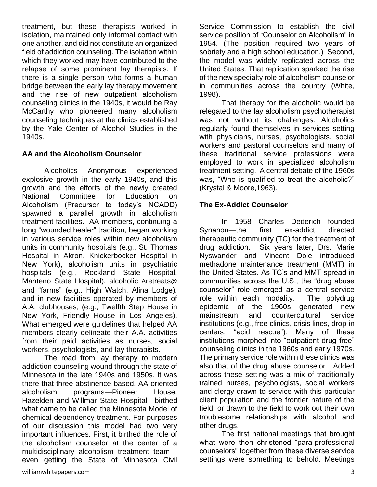treatment, but these therapists worked in isolation, maintained only informal contact with one another, and did not constitute an organized field of addiction counseling. The isolation within which they worked may have contributed to the relapse of some prominent lay therapists. If there is a single person who forms a human bridge between the early lay therapy movement and the rise of new outpatient alcoholism counseling clinics in the 1940s, it would be Ray McCarthy who pioneered many alcoholism counseling techniques at the clinics established by the Yale Center of Alcohol Studies in the 1940s.

#### **AA and the Alcoholism Counselor**

Alcoholics Anonymous experienced explosive growth in the early 1940s, and this growth and the efforts of the newly created National Committee for Education on Alcoholism (Precursor to today's NCADD) spawned a parallel growth in alcoholism treatment facilities. AA members, continuing a long "wounded healer" tradition, began working in various service roles within new alcoholism units in community hospitals (e.g., St. Thomas Hospital in Akron, Knickerbocker Hospital in New York), alcoholism units in psychiatric hospitals (e.g., Rockland State Hospital, Manteno State Hospital), alcoholic Aretreats@ and "farms" (e.g., High Watch, Alina Lodge), and in new facilities operated by members of A.A. clubhouses, (e.g., Twelfth Step House in New York, Friendly House in Los Angeles). What emerged were guidelines that helped AA members clearly delineate their A.A. activities from their paid activities as nurses, social workers, psychologists, and lay therapists.

The road from lay therapy to modern addiction counseling wound through the state of Minnesota in the late 1940s and 1950s. It was there that three abstinence-based, AA-oriented alcoholism programs—Pioneer House, Hazelden and Willmar State Hospital—birthed what came to be called the Minnesota Model of chemical dependency treatment. For purposes of our discussion this model had two very important influences. First, it birthed the role of the alcoholism counselor at the center of a multidisciplinary alcoholism treatment team even getting the State of Minnesota Civil Service Commission to establish the civil service position of "Counselor on Alcoholism" in 1954. (The position required two years of sobriety and a high school education.) Second, the model was widely replicated across the United States. That replication sparked the rise of the new specialty role of alcoholism counselor in communities across the country (White, 1998).

That therapy for the alcoholic would be relegated to the lay alcoholism psychotherapist was not without its challenges. Alcoholics regularly found themselves in services setting with physicians, nurses, psychologists, social workers and pastoral counselors and many of these traditional service professions were employed to work in specialized alcoholism treatment setting. A central debate of the 1960s was, "Who is qualified to treat the alcoholic?" (Krystal & Moore,1963).

## **The Ex-Addict Counselor**

In 1958 Charles Dederich founded Synanon—the first ex-addict directed therapeutic community (TC) for the treatment of drug addiction. Six years later, Drs. Marie Nyswander and Vincent Dole introduced methadone maintenance treatment (MMT) in the United States. As TC's and MMT spread in communities across the U.S., the "drug abuse counselor" role emerged as a central service role within each modality. The polydrug epidemic of the 1960s generated new mainstream and countercultural service institutions (e.g., free clinics, crisis lines, drop-in centers, "acid rescue"). Many of these institutions morphed into "outpatient drug free" counseling clinics in the 1960s and early 1970s. The primary service role within these clinics was also that of the drug abuse counselor. Added across these setting was a mix of traditionally trained nurses, psychologists, social workers and clergy drawn to service with this particular client population and the frontier nature of the field, or drawn to the field to work out their own troublesome relationships with alcohol and other drugs.

The first national meetings that brought what were then christened "para-professional counselors" together from these diverse service settings were something to behold. Meetings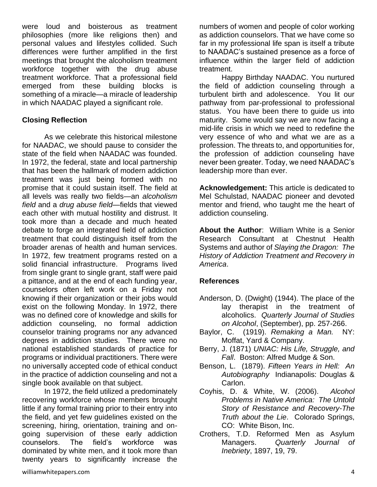were loud and boisterous as treatment philosophies (more like religions then) and personal values and lifestyles collided. Such differences were further amplified in the first meetings that brought the alcoholism treatment workforce together with the drug abuse treatment workforce. That a professional field emerged from these building blocks is something of a miracle—a miracle of leadership in which NAADAC played a significant role.

#### **Closing Reflection**

As we celebrate this historical milestone for NAADAC, we should pause to consider the state of the field when NAADAC was founded. In 1972, the federal, state and local partnership that has been the hallmark of modern addiction treatment was just being formed with no promise that it could sustain itself. The field at all levels was really two fields—an *alcoholism field* and a *drug abuse field—*fields that viewed each other with mutual hostility and distrust. It took more than a decade and much heated debate to forge an integrated field of addiction treatment that could distinguish itself from the broader arenas of health and human services. In 1972, few treatment programs rested on a solid financial infrastructure. Programs lived from single grant to single grant, staff were paid a pittance, and at the end of each funding year, counselors often left work on a Friday not knowing if their organization or their jobs would exist on the following Monday. In 1972, there was no defined core of knowledge and skills for addiction counseling, no formal addiction counselor training programs nor any advanced degrees in addiction studies. There were no national established standards of practice for programs or individual practitioners. There were no universally accepted code of ethical conduct in the practice of addiction counseling and not a single book available on that subject.

In 1972, the field utilized a predominately recovering workforce whose members brought little if any formal training prior to their entry into the field, and yet few guidelines existed on the screening, hiring, orientation, training and ongoing supervision of these early addiction counselors. The field's workforce was dominated by white men, and it took more than twenty years to significantly increase the

numbers of women and people of color working as addiction counselors. That we have come so far in my professional life span is itself a tribute to NAADAC's sustained presence as a force of influence within the larger field of addiction treatment.

Happy Birthday NAADAC. You nurtured the field of addiction counseling through a turbulent birth and adolescence. You lit our pathway from par-professional to professional status. You have been there to guide us into maturity. Some would say we are now facing a mid-life crisis in which we need to redefine the very essence of who and what we are as a profession. The threats to, and opportunities for, the profession of addiction counseling have never been greater. Today, we need NAADAC's leadership more than ever.

**Acknowledgement:** This article is dedicated to Mel Schulstad, NAADAC pioneer and devoted mentor and friend, who taught me the heart of addiction counseling.

**About the Author**: William White is a Senior Research Consultant at Chestnut Health Systems and author of *Slaying the Dragon: The History of Addiction Treatment and Recovery in America*.

## **References**

- Anderson, D. (Dwight) (1944). The place of the lay therapist in the treatment of alcoholics. *Quarterly Journal of Studies on Alcohol*, (September), pp. 257-266.
- Baylor, C. (1919). *Remaking a Man.* NY: Moffat, Yard & Company.
- Berry, J. (1871) *UNIAC: His Life, Struggle, and Fall*. Boston: Alfred Mudge & Son.
- Benson, L. (1879). *Fifteen Years in Hell: An Autobiography* Indianapolis: Douglas & Carlon.
- Coyhis, D. & White, W. (2006). *Alcohol Problems in Native America: The Untold Story of Resistance and Recovery-The Truth about the Lie*. Colorado Springs, CO: White Bison, Inc.
- Crothers, T.D. Reformed Men as Asylum Managers. *Quarterly Journal of Inebriety*, 1897, 19, 79.